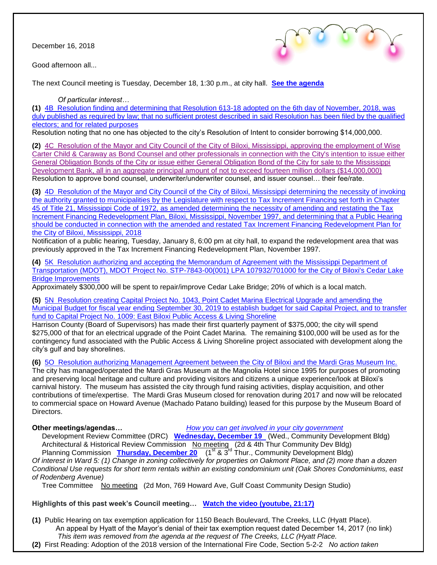December 16, 2018

Good afternoon all...



The next Council meeting is Tuesday, December 18, 1:30 p.m., at city hall. **[See the agenda](https://www.biloxi.ms.us/agendas/citycouncil/2018/121818/121818agenda.pdf)**

*Of particular interest…*

**(1)** [4B Resolution finding and determining that Resolution 613-18 adopted on the 6th day of November, 2018, was](https://www.biloxi.ms.us/agendas/citycouncil/2018/121818/121818aleg.pdf)  duly published as required by law; that no sufficient protest [described in said Resolution has been filed by the qualified](https://www.biloxi.ms.us/agendas/citycouncil/2018/121818/121818aleg.pdf)  [electors; and for related purposes](https://www.biloxi.ms.us/agendas/citycouncil/2018/121818/121818aleg.pdf)

Resolution noting that no one has objected to the city's Resolution of Intent to consider borrowing \$14,000,000.

**(2)** [4C Resolution of the Mayor and City Council of the City of Biloxi, Mississippi, approving the employment of Wise](https://www.biloxi.ms.us/agendas/citycouncil/2018/121818/121818bleg.pdf)  [Carter Child & Caraway as Bond Counsel and other professionals in connection with the City's intention to issue either](https://www.biloxi.ms.us/agendas/citycouncil/2018/121818/121818bleg.pdf)  [General Obligation Bonds of the City or issue either General Obligation Bond of the City for sale to the Mississippi](https://www.biloxi.ms.us/agendas/citycouncil/2018/121818/121818bleg.pdf)  [Development Bank, all in an aggregate principal amount of not to exceed fourteen million dollars \(\\$14,000,000\)](https://www.biloxi.ms.us/agendas/citycouncil/2018/121818/121818bleg.pdf) Resolution to approve bond counsel, underwriter/underwriter counsel, and issuer counsel… their fee/rate.

**(3)** [4D Resolution of the Mayor and City Council of the City of Biloxi, Mississippi determining the necessity of invoking](https://www.biloxi.ms.us/agendas/citycouncil/2018/121818/121818dleg.pdf)  [the authority granted to municipalities by the Legislature with respect to Tax Increment Financing set forth in Chapter](https://www.biloxi.ms.us/agendas/citycouncil/2018/121818/121818dleg.pdf)  [45 of Title 21, Mississippi Code of 1972, as amended determining the necessity of amending and restating the Tax](https://www.biloxi.ms.us/agendas/citycouncil/2018/121818/121818dleg.pdf)  Increment Financing Redevelopment Plan, Biloxi, Mississippi, November 1997, and determining that a Public Hearing [should be conducted in connection with the amended and restated Tax Increment Financing Redevelopment Plan for](https://www.biloxi.ms.us/agendas/citycouncil/2018/121818/121818dleg.pdf)  [the City of Biloxi, Mississippi, 2018](https://www.biloxi.ms.us/agendas/citycouncil/2018/121818/121818dleg.pdf)

Notification of a public hearing, Tuesday, January 8, 6:00 pm at city hall, to expand the redevelopment area that was previously approved in the Tax Increment Financing Redevelopment Plan, November 1997.

**(4)** [5K Resolution authorizing and accepting the Memorandum of Agreement with the Mississippi Department of](https://www.biloxi.ms.us/agendas/citycouncil/2018/121818/121818ceng.pdf)  [Transportation \(MDOT\), MDOT Project No. STP-7843-00\(001\) LPA 107932/701000 for the City of Biloxi's Cedar Lake](https://www.biloxi.ms.us/agendas/citycouncil/2018/121818/121818ceng.pdf)  [Bridge Improvements](https://www.biloxi.ms.us/agendas/citycouncil/2018/121818/121818ceng.pdf)

Approximately \$300,000 will be spent to repair/improve Cedar Lake Bridge; 20% of which is a local match.

**(5)** [5N Resolution creating Capital Project No. 1043, Point Cadet Marina Electrical Upgrade and amending the](https://www.biloxi.ms.us/agendas/citycouncil/2018/121818/121818acon.pdf)  [Municipal Budget for fiscal year ending September 30, 2019 to establish budget for said Capital Project, and to transfer](https://www.biloxi.ms.us/agendas/citycouncil/2018/121818/121818acon.pdf)  [fund to Capital Project No. 1009: East Biloxi Public Access & Living Shoreline](https://www.biloxi.ms.us/agendas/citycouncil/2018/121818/121818acon.pdf)

Harrison County (Board of Supervisors) has made their first quarterly payment of \$375,000; the city will spend \$275,000 of that for an electrical upgrade of the Point Cadet Marina. The remaining \$100,000 will be used as for the contingency fund associated with the Public Access & Living Shoreline project associated with development along the city's gulf and bay shorelines.

**(6)** [5O Resolution authorizing Management Agreement between the City of Biloxi and the Mardi Gras Museum Inc.](https://www.biloxi.ms.us/agendas/citycouncil/2018/121818/121818bcon.pdf)

The city has managed/operated the Mardi Gras Museum at the Magnolia Hotel since 1995 for purposes of promoting and preserving local heritage and culture and providing visitors and citizens a unique experience/look at Biloxi's carnival history. The museum has assisted the city through fund raising activities, display acquisition, and other contributions of time/expertise. The Mardi Gras Museum closed for renovation during 2017 and now will be relocated to commercial space on Howard Avenue (Machado Patano building) leased for this purpose by the Museum Board of Directors.

**Other meetings/agendas…** *[How you can get involved in your city government](https://www.biloxi.ms.us/residents/public-meetings/)*

 Development Review Committee (DRC) **[Wednesday, December 19](https://www.biloxi.ms.us/agendas/DRC/2018/DRC-2018-12-19.pdf)** (Wed., Community Development Bldg) Architectural & Historical Review Commission No meeting (2d & 4th Thur Community Dev Bldg) Planning Commission **[Thursday, December 20](https://www.biloxi.ms.us/agendas/planning/2018/PC-12-20-18.pdf)** (1<sup>st</sup> & 3<sup>rd</sup> Thur., Community Development Bldg) *Of interest in Ward 5: (1) Change in zoning collectively for properties on Oakmont Place, and (2) more than a dozen Conditional Use requests for short term rentals within an existing condominium unit (Oak Shores Condominiums, east of Rodenberg Avenue)*

Tree Committee No meeting (2d Mon, 769 Howard Ave, Gulf Coast Community Design Studio)

**Highlights of this past week's Council meeting… [Watch the video \(youtube, 21:17\)](https://www.youtube.com/watch?v=ZM19W74DlRY&fbclid=IwAR1m1ywhvbQSBLljwiRVklz4fJRdKN8-Y8aY40y3kBNSgu6h9JeoynzWrHU)**

- **(1)** Public Hearing on tax exemption application for 1150 Beach Boulevard, The Creeks, LLC (Hyatt Place). An appeal by Hyatt of the Mayor's denial of their tax exemption request dated December 14, 2017 (no link) *This item was removed from the agenda at the request of The Creeks, LLC (Hyatt Place.*
- **(2)** First Reading: Adoption of the 2018 version of the International Fire Code, Section 5-2-2 *No action taken*